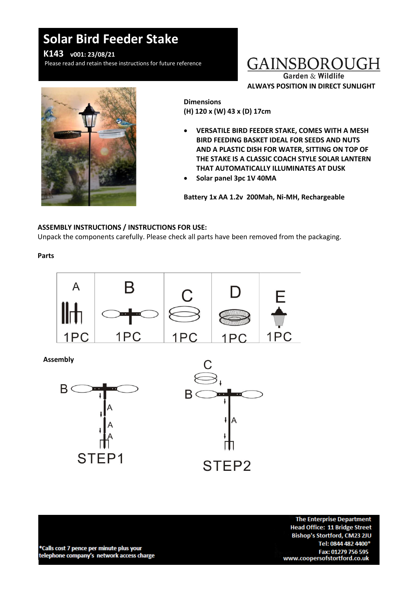# **Solar Bird Feeder Stake**

**K143 v001: 23/08/21**

Please read and retain these instructions for future reference

### GAINSBOROUGH **Garden & Wildlife**

**ALWAYS POSITION IN DIRECT SUNLIGHT**



**Dimensions (H) 120 x (W) 43 x (D) 17cm**

- **VERSATILE BIRD FEEDER STAKE, COMES WITH A MESH BIRD FEEDING BASKET IDEAL FOR SEEDS AND NUTS AND A PLASTIC DISH FOR WATER, SITTING ON TOP OF THE STAKE IS A CLASSIC COACH STYLE SOLAR LANTERN THAT AUTOMATICALLY ILLUMINATES AT DUSK**
- **Solar panel 3pc 1V 40MA**

**Battery 1x AA 1.2v 200Mah, Ni-MH, Rechargeable**

#### **ASSEMBLY INSTRUCTIONS / INSTRUCTIONS FOR USE:**

Unpack the components carefully. Please check all parts have been removed from the packaging.

**Parts**



**Assembly**



\*Calls cost 7 pence per minute plus your telephone company's network access charge

**The Enterprise Department Head Office: 11 Bridge Street** Bishop's Stortford, CM23 2JU Tel: 0844 482 4400\* Fax: 01279 756 595 www.coopersofstortford.co.uk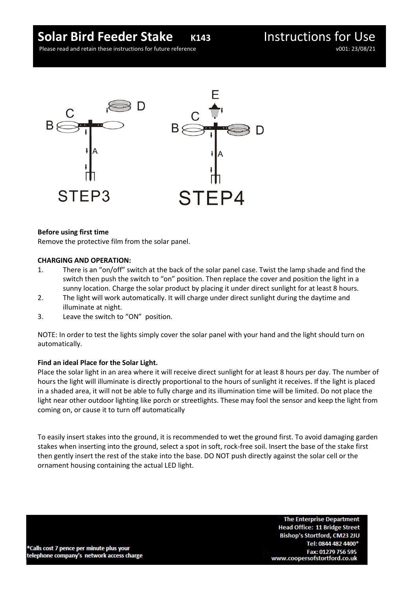### **Solar Bird Feeder Stake** *K143* Instructions for Use

Please read and retain these instructions for future reference v001: 23/08/21



#### **Before using first time**

Remove the protective film from the solar panel.

#### **CHARGING AND OPERATION:**

- 1. There is an "on/off" switch at the back of the solar panel case. Twist the lamp shade and find the switch then push the switch to "on" position. Then replace the cover and position the light in a sunny location. Charge the solar product by placing it under direct sunlight for at least 8 hours.
- 2. The light will work automatically. It will charge under direct sunlight during the daytime and illuminate at night.
- 3. Leave the switch to "ON" position.

NOTE: In order to test the lights simply cover the solar panel with your hand and the light should turn on automatically.

#### **Find an ideal Place for the Solar Light.**

Place the solar light in an area where it will receive direct sunlight for at least 8 hours per day. The number of hours the light will illuminate is directly proportional to the hours of sunlight it receives. If the light is placed in a shaded area, it will not be able to fully charge and its illumination time will be limited. Do not place the light near other outdoor lighting like porch or streetlights. These may fool the sensor and keep the light from coming on, or cause it to turn off automatically

To easily insert stakes into the ground, it is recommended to wet the ground first. To avoid damaging garden stakes when inserting into the ground, select a spot in soft, rock-free soil. Insert the base of the stake first then gently insert the rest of the stake into the base. DO NOT push directly against the solar cell or the ornament housing containing the actual LED light.

\*Calls cost 7 pence per minute plus your telephone company's network access charge

**The Enterprise Department Head Office: 11 Bridge Street** Bishop's Stortford, CM23 2JU Tel: 0844 482 4400\* Fax: 01279 756 595 www.coopersofstortford.co.uk